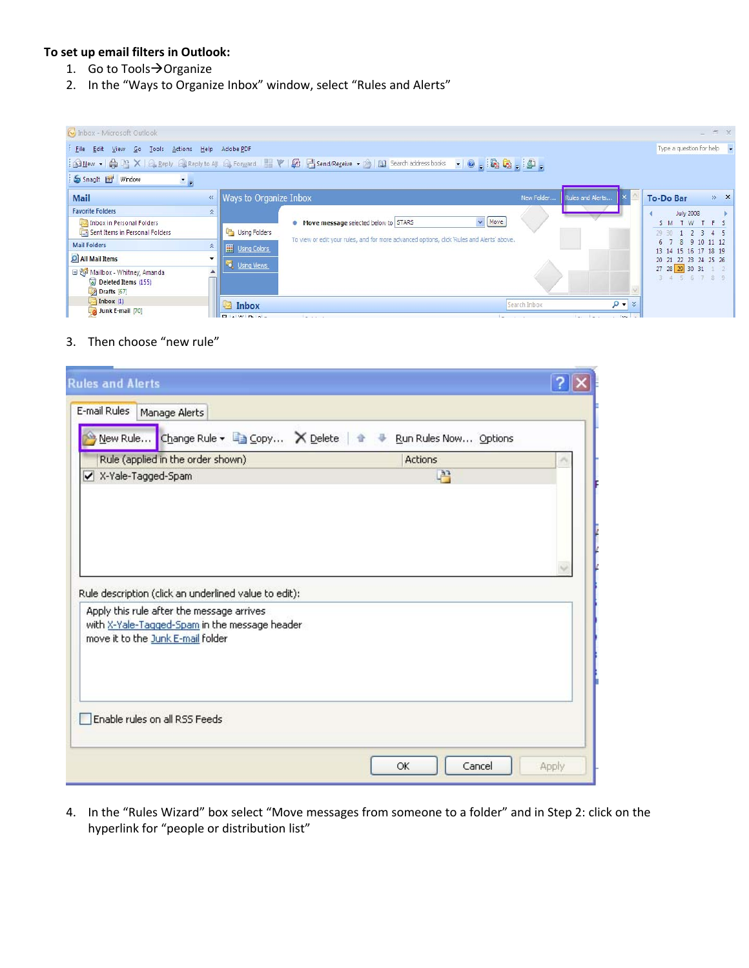## **To set up email filters in Outlook:**

- 1. Go to Tools  $\rightarrow$  Organize
- 2. In the "Ways to Organize Inbox" window, select "Rules and Alerts"

| [V] Inbox - Microsoft Outlook                                                                                                   |                                                                                                                      |                                                                                                                                                   |              |                  | $ \Box$ $X$                                                                                                                                 |
|---------------------------------------------------------------------------------------------------------------------------------|----------------------------------------------------------------------------------------------------------------------|---------------------------------------------------------------------------------------------------------------------------------------------------|--------------|------------------|---------------------------------------------------------------------------------------------------------------------------------------------|
| File Edit<br>60<br>Tools<br><b>View</b>                                                                                         | Actions Help Adobe PDF                                                                                               |                                                                                                                                                   |              |                  | Type a question for help v                                                                                                                  |
|                                                                                                                                 |                                                                                                                      | $\cdot$ 0. Reg. $\circ$ .<br>   1 Search address books    A Reply C Reply to All C Forward                    Search A       Search address books |              |                  |                                                                                                                                             |
| SnagIt Et Window<br>三日                                                                                                          |                                                                                                                      |                                                                                                                                                   |              |                  |                                                                                                                                             |
| <b>Mail</b>                                                                                                                     | Ways to Organize Inbox<br>$\ll$                                                                                      |                                                                                                                                                   | New Folder   | Rules and Alerts | $*$ $\times$<br><b>To-Do Bar</b>                                                                                                            |
| <b>Favorite Folders</b><br>Inbox in Personal Folders<br>Sent Items in Personal Folders<br><b>Mail Folders</b><br>All Mail Items | $\hat{\mathbf{x}}$<br>Using Folders<br>$\hat{\mathbf{x}}$<br><b>HE</b> Using Colors<br>$\cdot$<br><b>Using Views</b> | $\vee$ Move<br>Move message selected below to STARS<br>To view or edit your rules, and for more advanced options, dick 'Rules and Alerts' above.  |              |                  | <b>July 2008</b><br>SM TW TFS<br>2345<br>$29 - 30$<br>8 9 10 11 12<br>6 7<br>13 14 15 16 17 18 19<br>20 21 22 23 24 25 26<br>27 28 29 30 31 |
| Mailbox - Whitney, Amanda<br>Deleted Items (155)<br>$D$ rafts [67]<br>$\Box$ Inbox (1)<br>Junk E-mail [70]                      | ▲<br>Inbox<br>$F = \frac{1}{2}$                                                                                      |                                                                                                                                                   | Search Inbox | $Q - x$<br>long. | 5 6 7 8 9                                                                                                                                   |

## 3. Then choose "new rule"

| Rule (applied in the order shown)                                                                                                                                                        | Change Rule ▼ La Copy X Delete   ●<br>Run Rules Now Options<br><b>Actions</b> |  |
|------------------------------------------------------------------------------------------------------------------------------------------------------------------------------------------|-------------------------------------------------------------------------------|--|
| X-Yale-Tagged-Spam                                                                                                                                                                       | 唔                                                                             |  |
|                                                                                                                                                                                          |                                                                               |  |
|                                                                                                                                                                                          |                                                                               |  |
|                                                                                                                                                                                          |                                                                               |  |
| Rule description (click an underlined value to edit):<br>Apply this rule after the message arrives<br>with X-Yale-Tagged-Spam in the message header<br>move it to the Junk E-mail folder |                                                                               |  |
|                                                                                                                                                                                          |                                                                               |  |

4. In the "Rules Wizard" box select "Move messages from someone to a folder" and in Step 2: click on the hyperlink for "people or distribution list"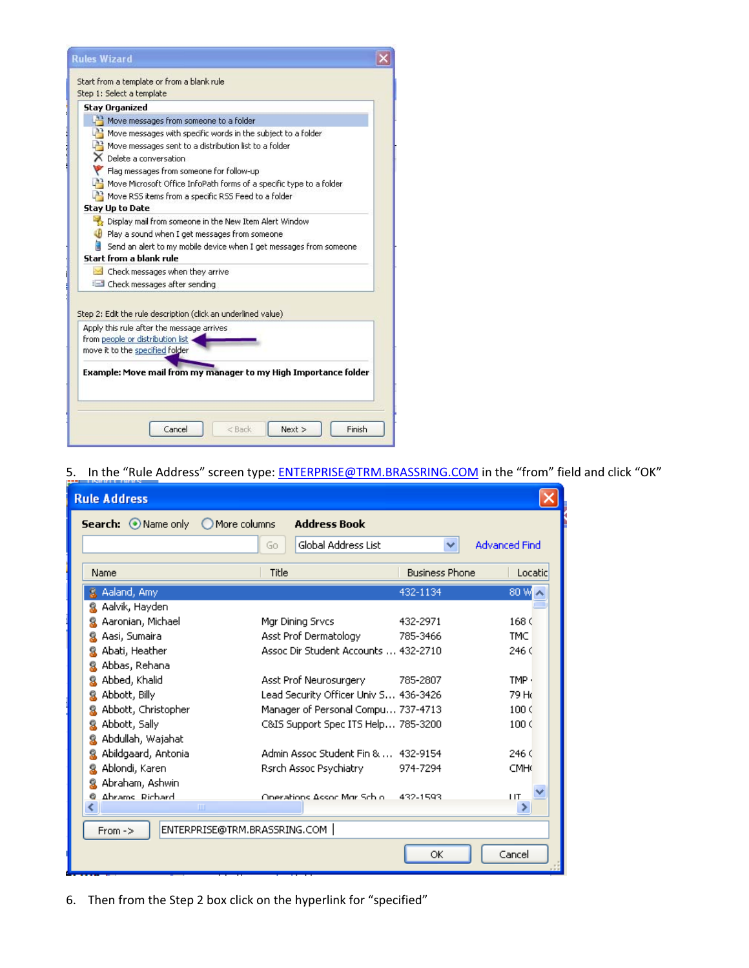| <b>Rules Wizard</b>                                                  |  |
|----------------------------------------------------------------------|--|
| Start from a template or from a blank rule                           |  |
| Step 1: Select a template                                            |  |
| <b>Stay Organized</b>                                                |  |
| Move messages from someone to a folder                               |  |
| Move messages with specific words in the subject to a folder         |  |
| $\mathbb{P}^3$ Move messages sent to a distribution list to a folder |  |
| └ Delete a conversation                                              |  |
| Flag messages from someone for follow-up                             |  |
| Move Microsoft Office InfoPath forms of a specific type to a folder  |  |
| Move RSS items from a specific RSS Feed to a folder                  |  |
| Stay Up to Date                                                      |  |
| Display mail from someone in the New Item Alert Window               |  |
| Play a sound when I get messages from someone                        |  |
| Send an alert to my mobile device when I get messages from someone   |  |
| Start from a blank rule                                              |  |
| Check messages when they arrive                                      |  |
| Check messages after sending                                         |  |
| Step 2: Edit the rule description (click an underlined value)        |  |
| Apply this rule after the message arrives                            |  |
| from people or distribution list<br>move it to the specified folder  |  |
|                                                                      |  |
| Example: Move mail from my manager to my High Importance folder      |  |
|                                                                      |  |
| Cancel<br>Finish<br>< Back<br>Next                                   |  |

5. In the "Rule Address" screen type: [ENTERPRISE@TRM.BRASSRING.COM](mailto:ENTERPRISE@TRM.BRASSRING.COM) in the "from" field and click "OK"

| <b>Rule Address</b> |                              |                                       |                      |
|---------------------|------------------------------|---------------------------------------|----------------------|
| Search: O Name only | More columns                 | <b>Address Book</b>                   |                      |
|                     | Go                           | Global Address List<br>丷              | <b>Advanced Find</b> |
| Name                | Title                        | <b>Business Phone</b>                 | Locatic              |
| & Aaland, Amy       |                              | 432-1134                              | 80 W.                |
| Aalvik, Hayden      |                              |                                       |                      |
| Aaronian, Michael   | Mgr Dining Srvcs             | 432-2971                              | 168 <sub>0</sub>     |
| Aasi, Sumaira       | Asst Prof Dermatology        | 785-3466                              | <b>TMC</b>           |
| Abati, Heather      |                              | Assoc Dir Student Accounts  432-2710  | 246 <sup>°</sup>     |
| Abbas, Rehana       |                              |                                       |                      |
| Abbed, Khalid       | Asst Prof Neurosurgery       | 785-2807                              | TMP ·                |
| Abbott, Billy       |                              | Lead Security Officer Univ S 436-3426 | 79 Hd                |
| Abbott, Christopher |                              | Manager of Personal Compu 737-4713    | 100<                 |
| Abbott, Sally       |                              | C&IS Support Spec ITS Help 785-3200   | 100 <sub>0</sub>     |
| Abdullah, Wajahat   |                              |                                       |                      |
| Abildgaard, Antonia |                              | Admin Assoc Student Fin &  432-9154   | 246<                 |
| Ablondi, Karen      | Rsrch Assoc Psychiatry       | 974-7294                              | <b>CMH</b>           |
| Abraham, Ashwin     |                              |                                       |                      |
| Abrams Richard      | Onerations AssociMor Schiol  | 432-1593                              | <b>IIT</b>           |
|                     | ШI                           |                                       |                      |
| $From ->$           | ENTERPRISE@TRM.BRASSRING.COM |                                       |                      |
|                     |                              | ОK                                    | Cancel               |

6. Then from the Step 2 box click on the hyperlink for "specified"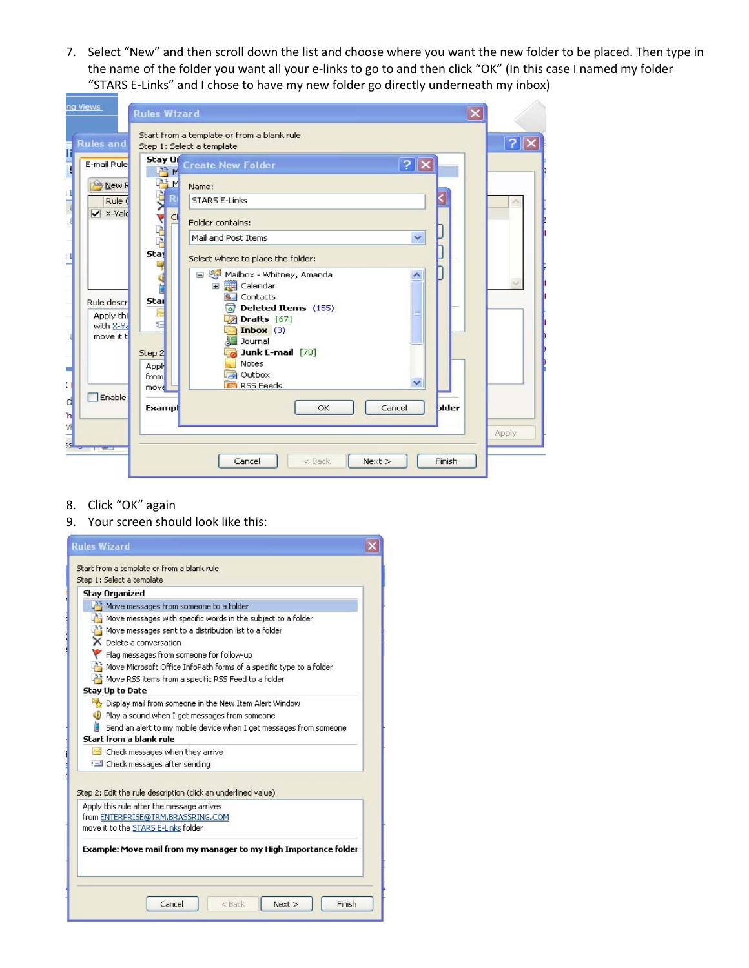7. Select "New" and then scroll down the list and choose where you want the new folder to be placed. Then type in the name of the folder you want all your e-links to go to and then click "OK" (In this case I named my folder "STARS E‐Links" and I chose to have my new folder go directly underneath my inbox)



- 8. Click "OK" again
- 9. Your screen should look like this: